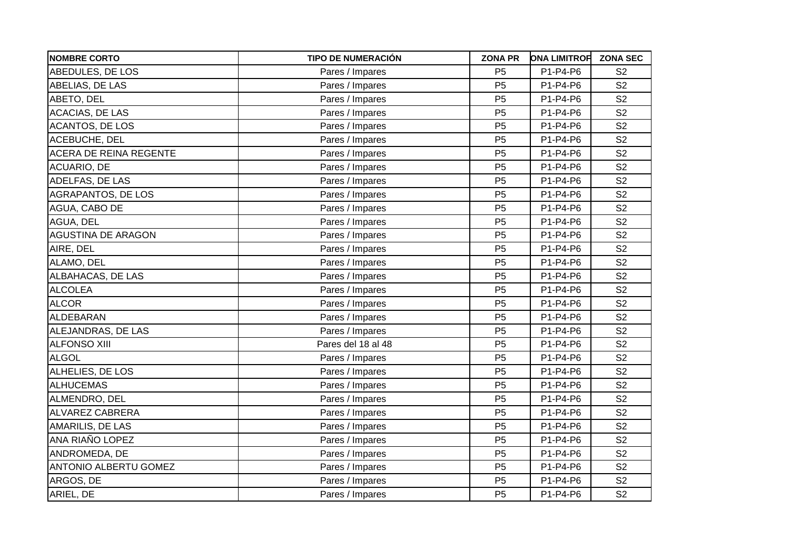| <b>NOMBRE CORTO</b>           | <b>TIPO DE NUMERACIÓN</b> | <b>ZONA PR</b> | <b>ONA LIMITROF</b> | <b>ZONA SEC</b> |
|-------------------------------|---------------------------|----------------|---------------------|-----------------|
| ABEDULES, DE LOS              | Pares / Impares           | P <sub>5</sub> | P1-P4-P6            | S <sub>2</sub>  |
| ABELIAS, DE LAS               | Pares / Impares           | P <sub>5</sub> | P1-P4-P6            | S <sub>2</sub>  |
| ABETO, DEL                    | Pares / Impares           | P <sub>5</sub> | P1-P4-P6            | S <sub>2</sub>  |
| <b>ACACIAS, DE LAS</b>        | Pares / Impares           | P <sub>5</sub> | P1-P4-P6            | S <sub>2</sub>  |
| <b>ACANTOS, DE LOS</b>        | Pares / Impares           | P <sub>5</sub> | P1-P4-P6            | S <sub>2</sub>  |
| ACEBUCHE, DEL                 | Pares / Impares           | P <sub>5</sub> | P1-P4-P6            | S <sub>2</sub>  |
| <b>ACERA DE REINA REGENTE</b> | Pares / Impares           | P <sub>5</sub> | P1-P4-P6            | S <sub>2</sub>  |
| ACUARIO, DE                   | Pares / Impares           | P <sub>5</sub> | P1-P4-P6            | S <sub>2</sub>  |
| ADELFAS, DE LAS               | Pares / Impares           | P <sub>5</sub> | P1-P4-P6            | S <sub>2</sub>  |
| AGRAPANTOS, DE LOS            | Pares / Impares           | P <sub>5</sub> | P1-P4-P6            | S <sub>2</sub>  |
| AGUA, CABO DE                 | Pares / Impares           | P <sub>5</sub> | P1-P4-P6            | S <sub>2</sub>  |
| AGUA, DEL                     | Pares / Impares           | P <sub>5</sub> | P1-P4-P6            | S <sub>2</sub>  |
| <b>AGUSTINA DE ARAGON</b>     | Pares / Impares           | P <sub>5</sub> | P1-P4-P6            | S <sub>2</sub>  |
| AIRE, DEL                     | Pares / Impares           | P <sub>5</sub> | P1-P4-P6            | S <sub>2</sub>  |
| ALAMO, DEL                    | Pares / Impares           | P <sub>5</sub> | P1-P4-P6            | S <sub>2</sub>  |
| ALBAHACAS, DE LAS             | Pares / Impares           | P <sub>5</sub> | P1-P4-P6            | S <sub>2</sub>  |
| <b>ALCOLEA</b>                | Pares / Impares           | P <sub>5</sub> | P1-P4-P6            | S <sub>2</sub>  |
| <b>ALCOR</b>                  | Pares / Impares           | P <sub>5</sub> | P1-P4-P6            | S <sub>2</sub>  |
| <b>ALDEBARAN</b>              | Pares / Impares           | P <sub>5</sub> | P1-P4-P6            | S <sub>2</sub>  |
| ALEJANDRAS, DE LAS            | Pares / Impares           | P <sub>5</sub> | P1-P4-P6            | S <sub>2</sub>  |
| <b>ALFONSO XIII</b>           | Pares del 18 al 48        | P <sub>5</sub> | P1-P4-P6            | S <sub>2</sub>  |
| <b>ALGOL</b>                  | Pares / Impares           | P <sub>5</sub> | P1-P4-P6            | S <sub>2</sub>  |
| ALHELIES, DE LOS              | Pares / Impares           | P <sub>5</sub> | P1-P4-P6            | S <sub>2</sub>  |
| <b>ALHUCEMAS</b>              | Pares / Impares           | P <sub>5</sub> | P1-P4-P6            | S <sub>2</sub>  |
| ALMENDRO, DEL                 | Pares / Impares           | P <sub>5</sub> | P1-P4-P6            | S <sub>2</sub>  |
| <b>ALVAREZ CABRERA</b>        | Pares / Impares           | P <sub>5</sub> | P1-P4-P6            | S <sub>2</sub>  |
| <b>AMARILIS, DE LAS</b>       | Pares / Impares           | P <sub>5</sub> | P1-P4-P6            | S <sub>2</sub>  |
| ANA RIAÑO LOPEZ               | Pares / Impares           | P <sub>5</sub> | P1-P4-P6            | S <sub>2</sub>  |
| ANDROMEDA, DE                 | Pares / Impares           | P <sub>5</sub> | P1-P4-P6            | S <sub>2</sub>  |
| <b>ANTONIO ALBERTU GOMEZ</b>  | Pares / Impares           | P <sub>5</sub> | P1-P4-P6            | S <sub>2</sub>  |
| ARGOS, DE                     | Pares / Impares           | P <sub>5</sub> | P1-P4-P6            | S <sub>2</sub>  |
| ARIEL, DE                     | Pares / Impares           | P <sub>5</sub> | P1-P4-P6            | S <sub>2</sub>  |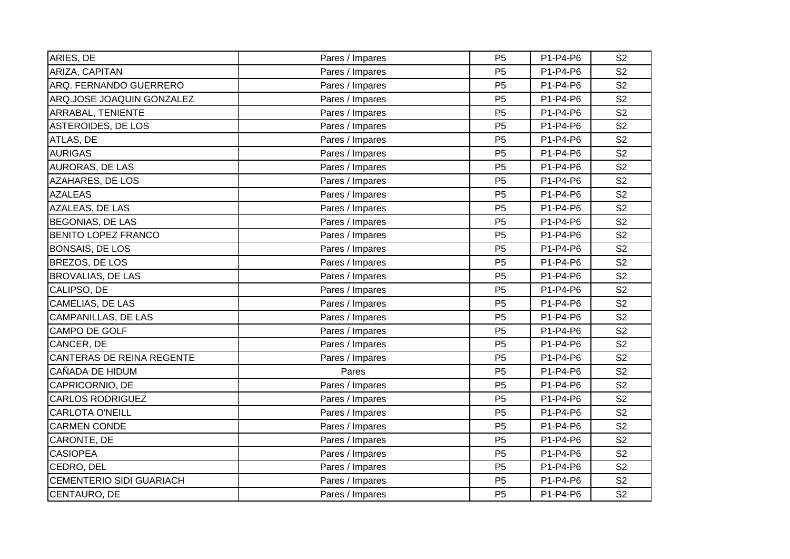| ARIES, DE                       | Pares / Impares | P <sub>5</sub> | P1-P4-P6 | S <sub>2</sub> |
|---------------------------------|-----------------|----------------|----------|----------------|
| ARIZA, CAPITAN                  | Pares / Impares | P <sub>5</sub> | P1-P4-P6 | S <sub>2</sub> |
| ARQ. FERNANDO GUERRERO          | Pares / Impares | P <sub>5</sub> | P1-P4-P6 | S <sub>2</sub> |
| ARQ.JOSE JOAQUIN GONZALEZ       | Pares / Impares | P <sub>5</sub> | P1-P4-P6 | S <sub>2</sub> |
| ARRABAL, TENIENTE               | Pares / Impares | P <sub>5</sub> | P1-P4-P6 | S <sub>2</sub> |
| ASTEROIDES, DE LOS              | Pares / Impares | P <sub>5</sub> | P1-P4-P6 | S <sub>2</sub> |
| ATLAS, DE                       | Pares / Impares | P <sub>5</sub> | P1-P4-P6 | S <sub>2</sub> |
| <b>AURIGAS</b>                  | Pares / Impares | P <sub>5</sub> | P1-P4-P6 | S <sub>2</sub> |
| AURORAS, DE LAS                 | Pares / Impares | P <sub>5</sub> | P1-P4-P6 | S <sub>2</sub> |
| <b>AZAHARES, DE LOS</b>         | Pares / Impares | P <sub>5</sub> | P1-P4-P6 | S <sub>2</sub> |
| <b>AZALEAS</b>                  | Pares / Impares | P <sub>5</sub> | P1-P4-P6 | S <sub>2</sub> |
| AZALEAS, DE LAS                 | Pares / Impares | P <sub>5</sub> | P1-P4-P6 | S <sub>2</sub> |
| <b>BEGONIAS, DE LAS</b>         | Pares / Impares | P <sub>5</sub> | P1-P4-P6 | S <sub>2</sub> |
| BENITO LOPEZ FRANCO             | Pares / Impares | P <sub>5</sub> | P1-P4-P6 | S <sub>2</sub> |
| <b>BONSAIS, DE LOS</b>          | Pares / Impares | P <sub>5</sub> | P1-P4-P6 | S <sub>2</sub> |
| BREZOS, DE LOS                  | Pares / Impares | P <sub>5</sub> | P1-P4-P6 | S <sub>2</sub> |
| <b>BROVALIAS, DE LAS</b>        | Pares / Impares | P <sub>5</sub> | P1-P4-P6 | S <sub>2</sub> |
| CALIPSO, DE                     | Pares / Impares | P <sub>5</sub> | P1-P4-P6 | S <sub>2</sub> |
| CAMELIAS, DE LAS                | Pares / Impares | P <sub>5</sub> | P1-P4-P6 | S <sub>2</sub> |
| CAMPANILLAS, DE LAS             | Pares / Impares | P <sub>5</sub> | P1-P4-P6 | S <sub>2</sub> |
| CAMPO DE GOLF                   | Pares / Impares | P <sub>5</sub> | P1-P4-P6 | S <sub>2</sub> |
| CANCER, DE                      | Pares / Impares | P <sub>5</sub> | P1-P4-P6 | S <sub>2</sub> |
| CANTERAS DE REINA REGENTE       | Pares / Impares | P <sub>5</sub> | P1-P4-P6 | S <sub>2</sub> |
| CAÑADA DE HIDUM                 | Pares           | P <sub>5</sub> | P1-P4-P6 | S <sub>2</sub> |
| CAPRICORNIO, DE                 | Pares / Impares | P <sub>5</sub> | P1-P4-P6 | S <sub>2</sub> |
| <b>CARLOS RODRIGUEZ</b>         | Pares / Impares | P <sub>5</sub> | P1-P4-P6 | S <sub>2</sub> |
| <b>CARLOTA O'NEILL</b>          | Pares / Impares | P <sub>5</sub> | P1-P4-P6 | S <sub>2</sub> |
| <b>CARMEN CONDE</b>             | Pares / Impares | P <sub>5</sub> | P1-P4-P6 | S <sub>2</sub> |
| CARONTE, DE                     | Pares / Impares | P <sub>5</sub> | P1-P4-P6 | S <sub>2</sub> |
| <b>CASIOPEA</b>                 | Pares / Impares | P <sub>5</sub> | P1-P4-P6 | S <sub>2</sub> |
| CEDRO, DEL                      | Pares / Impares | P <sub>5</sub> | P1-P4-P6 | S <sub>2</sub> |
| <b>CEMENTERIO SIDI GUARIACH</b> | Pares / Impares | P <sub>5</sub> | P1-P4-P6 | S <sub>2</sub> |
| CENTAURO, DE                    | Pares / Impares | P <sub>5</sub> | P1-P4-P6 | S <sub>2</sub> |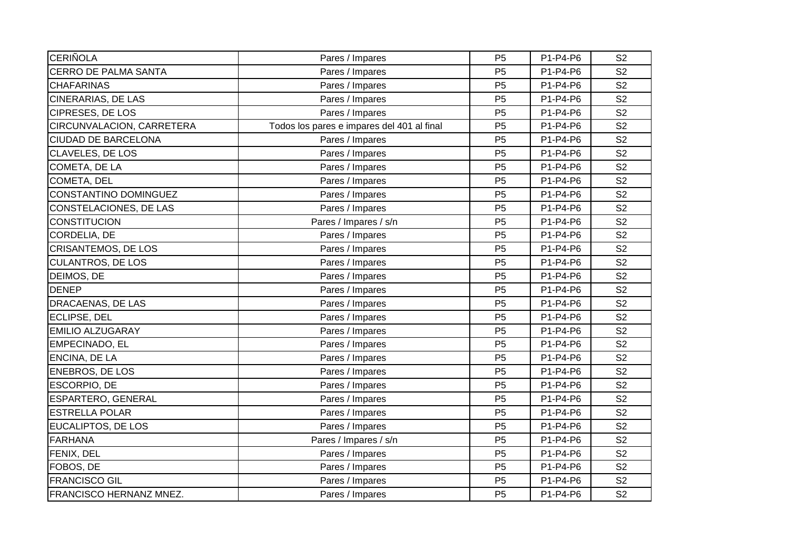| <b>CERIÑOLA</b>             | Pares / Impares                            | P <sub>5</sub> | P1-P4-P6 | S <sub>2</sub> |
|-----------------------------|--------------------------------------------|----------------|----------|----------------|
|                             |                                            |                |          |                |
| <b>CERRO DE PALMA SANTA</b> | Pares / Impares                            | P <sub>5</sub> | P1-P4-P6 | S <sub>2</sub> |
| <b>CHAFARINAS</b>           | Pares / Impares                            | P <sub>5</sub> | P1-P4-P6 | S <sub>2</sub> |
| CINERARIAS, DE LAS          | Pares / Impares                            | P <sub>5</sub> | P1-P4-P6 | S <sub>2</sub> |
| <b>CIPRESES, DE LOS</b>     | Pares / Impares                            | P <sub>5</sub> | P1-P4-P6 | S <sub>2</sub> |
| CIRCUNVALACION, CARRETERA   | Todos los pares e impares del 401 al final | P <sub>5</sub> | P1-P4-P6 | S <sub>2</sub> |
| <b>CIUDAD DE BARCELONA</b>  | Pares / Impares                            | P <sub>5</sub> | P1-P4-P6 | S <sub>2</sub> |
| <b>CLAVELES, DE LOS</b>     | Pares / Impares                            | P <sub>5</sub> | P1-P4-P6 | S <sub>2</sub> |
| COMETA, DE LA               | Pares / Impares                            | P <sub>5</sub> | P1-P4-P6 | S <sub>2</sub> |
| COMETA, DEL                 | Pares / Impares                            | P <sub>5</sub> | P1-P4-P6 | S <sub>2</sub> |
| CONSTANTINO DOMINGUEZ       | Pares / Impares                            | P <sub>5</sub> | P1-P4-P6 | S <sub>2</sub> |
| CONSTELACIONES, DE LAS      | Pares / Impares                            | P <sub>5</sub> | P1-P4-P6 | S <sub>2</sub> |
| <b>CONSTITUCION</b>         | Pares / Impares / s/n                      | P <sub>5</sub> | P1-P4-P6 | S <sub>2</sub> |
| CORDELIA, DE                | Pares / Impares                            | P <sub>5</sub> | P1-P4-P6 | S <sub>2</sub> |
| <b>CRISANTEMOS, DE LOS</b>  | Pares / Impares                            | P <sub>5</sub> | P1-P4-P6 | S <sub>2</sub> |
| <b>CULANTROS, DE LOS</b>    | Pares / Impares                            | P <sub>5</sub> | P1-P4-P6 | S <sub>2</sub> |
| DEIMOS, DE                  | Pares / Impares                            | P <sub>5</sub> | P1-P4-P6 | S <sub>2</sub> |
| <b>DENEP</b>                | Pares / Impares                            | P <sub>5</sub> | P1-P4-P6 | S <sub>2</sub> |
| DRACAENAS, DE LAS           | Pares / Impares                            | P <sub>5</sub> | P1-P4-P6 | S <sub>2</sub> |
| ECLIPSE, DEL                | Pares / Impares                            | P <sub>5</sub> | P1-P4-P6 | S <sub>2</sub> |
| <b>EMILIO ALZUGARAY</b>     | Pares / Impares                            | P <sub>5</sub> | P1-P4-P6 | S <sub>2</sub> |
| EMPECINADO, EL              | Pares / Impares                            | P <sub>5</sub> | P1-P4-P6 | S <sub>2</sub> |
| ENCINA, DE LA               | Pares / Impares                            | P <sub>5</sub> | P1-P4-P6 | S <sub>2</sub> |
| <b>ENEBROS, DE LOS</b>      | Pares / Impares                            | P <sub>5</sub> | P1-P4-P6 | S <sub>2</sub> |
| ESCORPIO, DE                | Pares / Impares                            | P <sub>5</sub> | P1-P4-P6 | S <sub>2</sub> |
| ESPARTERO, GENERAL          | Pares / Impares                            | P <sub>5</sub> | P1-P4-P6 | S <sub>2</sub> |
| <b>ESTRELLA POLAR</b>       | Pares / Impares                            | P <sub>5</sub> | P1-P4-P6 | S <sub>2</sub> |
| EUCALIPTOS, DE LOS          | Pares / Impares                            | P <sub>5</sub> | P1-P4-P6 | S <sub>2</sub> |
| <b>FARHANA</b>              | Pares / Impares / s/n                      | P <sub>5</sub> | P1-P4-P6 | S <sub>2</sub> |
| FENIX, DEL                  | Pares / Impares                            | P <sub>5</sub> | P1-P4-P6 | S <sub>2</sub> |
| FOBOS, DE                   | Pares / Impares                            | P <sub>5</sub> | P1-P4-P6 | S <sub>2</sub> |
| <b>FRANCISCO GIL</b>        | Pares / Impares                            | P <sub>5</sub> | P1-P4-P6 | S <sub>2</sub> |
| FRANCISCO HERNANZ MNEZ.     | Pares / Impares                            | P <sub>5</sub> | P1-P4-P6 | S <sub>2</sub> |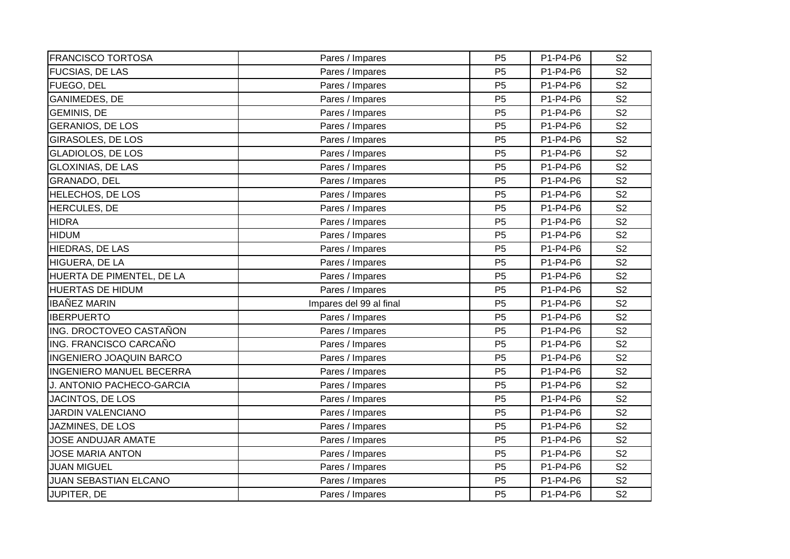| <b>FRANCISCO TORTOSA</b>        | Pares / Impares         | P <sub>5</sub> | P1-P4-P6 | S <sub>2</sub> |
|---------------------------------|-------------------------|----------------|----------|----------------|
| <b>FUCSIAS, DE LAS</b>          | Pares / Impares         | P <sub>5</sub> | P1-P4-P6 | S <sub>2</sub> |
| FUEGO, DEL                      | Pares / Impares         | P <sub>5</sub> | P1-P4-P6 | S <sub>2</sub> |
| <b>GANIMEDES, DE</b>            | Pares / Impares         | P <sub>5</sub> | P1-P4-P6 | S <sub>2</sub> |
| <b>GEMINIS, DE</b>              | Pares / Impares         | P <sub>5</sub> | P1-P4-P6 | S <sub>2</sub> |
| <b>GERANIOS, DE LOS</b>         | Pares / Impares         | P <sub>5</sub> | P1-P4-P6 | S <sub>2</sub> |
| <b>GIRASOLES, DE LOS</b>        | Pares / Impares         | P <sub>5</sub> | P1-P4-P6 | S <sub>2</sub> |
| <b>GLADIOLOS, DE LOS</b>        | Pares / Impares         | P <sub>5</sub> | P1-P4-P6 | S <sub>2</sub> |
| <b>GLOXINIAS, DE LAS</b>        | Pares / Impares         | P <sub>5</sub> | P1-P4-P6 | S <sub>2</sub> |
| GRANADO, DEL                    | Pares / Impares         | P <sub>5</sub> | P1-P4-P6 | S <sub>2</sub> |
| <b>HELECHOS, DE LOS</b>         | Pares / Impares         | P <sub>5</sub> | P1-P4-P6 | S <sub>2</sub> |
| HERCULES, DE                    | Pares / Impares         | P <sub>5</sub> | P1-P4-P6 | S <sub>2</sub> |
| <b>HIDRA</b>                    | Pares / Impares         | P <sub>5</sub> | P1-P4-P6 | S <sub>2</sub> |
| <b>HIDUM</b>                    | Pares / Impares         | P <sub>5</sub> | P1-P4-P6 | S <sub>2</sub> |
| HIEDRAS, DE LAS                 | Pares / Impares         | P <sub>5</sub> | P1-P4-P6 | S <sub>2</sub> |
| HIGUERA, DE LA                  | Pares / Impares         | P <sub>5</sub> | P1-P4-P6 | S <sub>2</sub> |
| HUERTA DE PIMENTEL, DE LA       | Pares / Impares         | P <sub>5</sub> | P1-P4-P6 | S <sub>2</sub> |
| <b>HUERTAS DE HIDUM</b>         | Pares / Impares         | P <sub>5</sub> | P1-P4-P6 | S <sub>2</sub> |
| <b>IBAÑEZ MARIN</b>             | Impares del 99 al final | P <sub>5</sub> | P1-P4-P6 | S <sub>2</sub> |
| <b>IBERPUERTO</b>               | Pares / Impares         | P <sub>5</sub> | P1-P4-P6 | S <sub>2</sub> |
| ING. DROCTOVEO CASTAÑON         | Pares / Impares         | P <sub>5</sub> | P1-P4-P6 | S <sub>2</sub> |
| ING. FRANCISCO CARCAÑO          | Pares / Impares         | P <sub>5</sub> | P1-P4-P6 | S <sub>2</sub> |
| <b>INGENIERO JOAQUIN BARCO</b>  | Pares / Impares         | P <sub>5</sub> | P1-P4-P6 | S <sub>2</sub> |
| <b>INGENIERO MANUEL BECERRA</b> | Pares / Impares         | P <sub>5</sub> | P1-P4-P6 | S <sub>2</sub> |
| J. ANTONIO PACHECO-GARCIA       | Pares / Impares         | P <sub>5</sub> | P1-P4-P6 | S <sub>2</sub> |
| JACINTOS, DE LOS                | Pares / Impares         | P <sub>5</sub> | P1-P4-P6 | S <sub>2</sub> |
| <b>JARDIN VALENCIANO</b>        | Pares / Impares         | P <sub>5</sub> | P1-P4-P6 | S <sub>2</sub> |
| JAZMINES, DE LOS                | Pares / Impares         | P <sub>5</sub> | P1-P4-P6 | S <sub>2</sub> |
| JOSE ANDUJAR AMATE              | Pares / Impares         | P <sub>5</sub> | P1-P4-P6 | S <sub>2</sub> |
| <b>JOSE MARIA ANTON</b>         | Pares / Impares         | P <sub>5</sub> | P1-P4-P6 | S <sub>2</sub> |
| <b>JUAN MIGUEL</b>              | Pares / Impares         | P <sub>5</sub> | P1-P4-P6 | S <sub>2</sub> |
| JUAN SEBASTIAN ELCANO           | Pares / Impares         | P <sub>5</sub> | P1-P4-P6 | S <sub>2</sub> |
| JUPITER, DE                     | Pares / Impares         | P <sub>5</sub> | P1-P4-P6 | S <sub>2</sub> |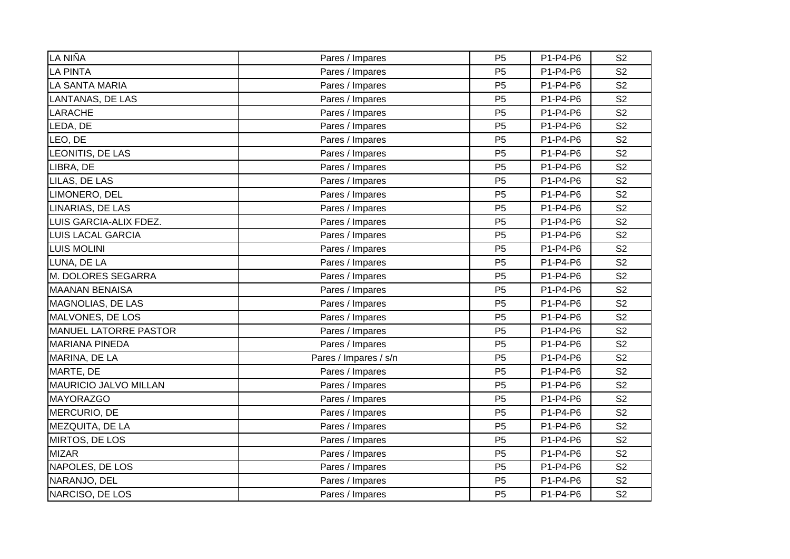| LA NIÑA                      | Pares / Impares       | P <sub>5</sub> | P1-P4-P6 | S <sub>2</sub> |
|------------------------------|-----------------------|----------------|----------|----------------|
| <b>LA PINTA</b>              | Pares / Impares       | P <sub>5</sub> | P1-P4-P6 | S <sub>2</sub> |
| <b>LA SANTA MARIA</b>        | Pares / Impares       | P <sub>5</sub> | P1-P4-P6 | S <sub>2</sub> |
| <b>LANTANAS, DE LAS</b>      | Pares / Impares       | P <sub>5</sub> | P1-P4-P6 | S <sub>2</sub> |
| <b>LARACHE</b>               | Pares / Impares       | P <sub>5</sub> | P1-P4-P6 | S <sub>2</sub> |
| LEDA, DE                     | Pares / Impares       | P <sub>5</sub> | P1-P4-P6 | S <sub>2</sub> |
| LEO, DE                      | Pares / Impares       | P <sub>5</sub> | P1-P4-P6 | S <sub>2</sub> |
| LEONITIS, DE LAS             | Pares / Impares       | P <sub>5</sub> | P1-P4-P6 | S <sub>2</sub> |
| LIBRA, DE                    | Pares / Impares       | P <sub>5</sub> | P1-P4-P6 | S <sub>2</sub> |
| LILAS, DE LAS                | Pares / Impares       | P <sub>5</sub> | P1-P4-P6 | S <sub>2</sub> |
| LIMONERO, DEL                | Pares / Impares       | P <sub>5</sub> | P1-P4-P6 | S <sub>2</sub> |
| LINARIAS, DE LAS             | Pares / Impares       | P <sub>5</sub> | P1-P4-P6 | S <sub>2</sub> |
| LUIS GARCIA-ALIX FDEZ.       | Pares / Impares       | P <sub>5</sub> | P1-P4-P6 | S <sub>2</sub> |
| LUIS LACAL GARCIA            | Pares / Impares       | P <sub>5</sub> | P1-P4-P6 | S <sub>2</sub> |
| <b>LUIS MOLINI</b>           | Pares / Impares       | P <sub>5</sub> | P1-P4-P6 | S <sub>2</sub> |
| LUNA, DE LA                  | Pares / Impares       | P <sub>5</sub> | P1-P4-P6 | S <sub>2</sub> |
| M. DOLORES SEGARRA           | Pares / Impares       | P <sub>5</sub> | P1-P4-P6 | S <sub>2</sub> |
| <b>MAANAN BENAISA</b>        | Pares / Impares       | P <sub>5</sub> | P1-P4-P6 | S <sub>2</sub> |
| <b>MAGNOLIAS, DE LAS</b>     | Pares / Impares       | P <sub>5</sub> | P1-P4-P6 | S <sub>2</sub> |
| MALVONES, DE LOS             | Pares / Impares       | P <sub>5</sub> | P1-P4-P6 | S <sub>2</sub> |
| <b>MANUEL LATORRE PASTOR</b> | Pares / Impares       | P <sub>5</sub> | P1-P4-P6 | S <sub>2</sub> |
| <b>MARIANA PINEDA</b>        | Pares / Impares       | P <sub>5</sub> | P1-P4-P6 | S <sub>2</sub> |
| MARINA, DE LA                | Pares / Impares / s/n | P <sub>5</sub> | P1-P4-P6 | S <sub>2</sub> |
| MARTE, DE                    | Pares / Impares       | P <sub>5</sub> | P1-P4-P6 | S <sub>2</sub> |
| <b>MAURICIO JALVO MILLAN</b> | Pares / Impares       | P <sub>5</sub> | P1-P4-P6 | S <sub>2</sub> |
| <b>MAYORAZGO</b>             | Pares / Impares       | P <sub>5</sub> | P1-P4-P6 | S <sub>2</sub> |
| MERCURIO, DE                 | Pares / Impares       | P <sub>5</sub> | P1-P4-P6 | S <sub>2</sub> |
| MEZQUITA, DE LA              | Pares / Impares       | P <sub>5</sub> | P1-P4-P6 | S <sub>2</sub> |
| MIRTOS, DE LOS               | Pares / Impares       | P <sub>5</sub> | P1-P4-P6 | S <sub>2</sub> |
| <b>MIZAR</b>                 | Pares / Impares       | P <sub>5</sub> | P1-P4-P6 | S <sub>2</sub> |
| NAPOLES, DE LOS              | Pares / Impares       | P <sub>5</sub> | P1-P4-P6 | S <sub>2</sub> |
| NARANJO, DEL                 | Pares / Impares       | P <sub>5</sub> | P1-P4-P6 | S <sub>2</sub> |
| NARCISO, DE LOS              | Pares / Impares       | P <sub>5</sub> | P1-P4-P6 | S <sub>2</sub> |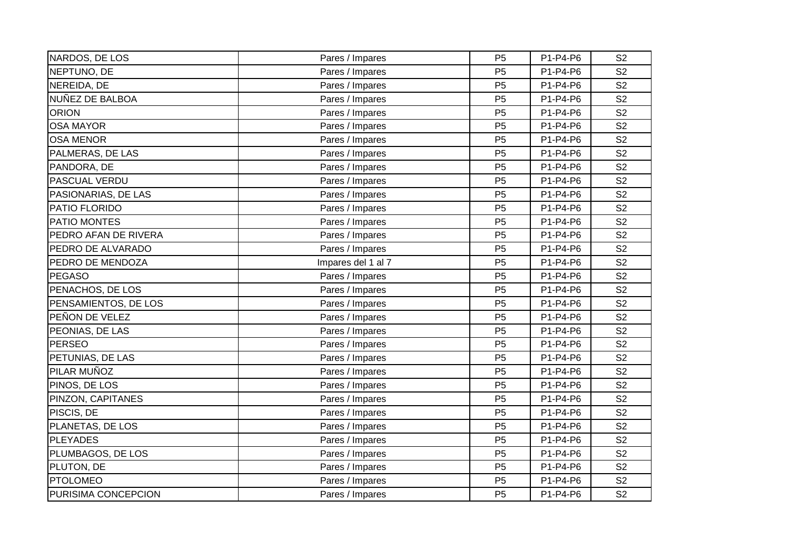| NARDOS, DE LOS       | Pares / Impares    | P <sub>5</sub> | P1-P4-P6 | S <sub>2</sub> |
|----------------------|--------------------|----------------|----------|----------------|
| NEPTUNO, DE          | Pares / Impares    | P <sub>5</sub> | P1-P4-P6 | S <sub>2</sub> |
| NEREIDA, DE          | Pares / Impares    | P <sub>5</sub> | P1-P4-P6 | S <sub>2</sub> |
| NUÑEZ DE BALBOA      | Pares / Impares    | P <sub>5</sub> | P1-P4-P6 | S <sub>2</sub> |
| <b>ORION</b>         | Pares / Impares    | P <sub>5</sub> | P1-P4-P6 | S <sub>2</sub> |
| <b>OSA MAYOR</b>     | Pares / Impares    | P <sub>5</sub> | P1-P4-P6 | S <sub>2</sub> |
| <b>OSA MENOR</b>     | Pares / Impares    | P <sub>5</sub> | P1-P4-P6 | S <sub>2</sub> |
| PALMERAS, DE LAS     | Pares / Impares    | P <sub>5</sub> | P1-P4-P6 | S <sub>2</sub> |
| PANDORA, DE          | Pares / Impares    | P <sub>5</sub> | P1-P4-P6 | S <sub>2</sub> |
| PASCUAL VERDU        | Pares / Impares    | P <sub>5</sub> | P1-P4-P6 | S <sub>2</sub> |
| PASIONARIAS, DE LAS  | Pares / Impares    | P <sub>5</sub> | P1-P4-P6 | S <sub>2</sub> |
| PATIO FLORIDO        | Pares / Impares    | P <sub>5</sub> | P1-P4-P6 | S <sub>2</sub> |
| <b>PATIO MONTES</b>  | Pares / Impares    | P <sub>5</sub> | P1-P4-P6 | S <sub>2</sub> |
| PEDRO AFAN DE RIVERA | Pares / Impares    | P <sub>5</sub> | P1-P4-P6 | S <sub>2</sub> |
| PEDRO DE ALVARADO    | Pares / Impares    | P <sub>5</sub> | P1-P4-P6 | S <sub>2</sub> |
| PEDRO DE MENDOZA     | Impares del 1 al 7 | P <sub>5</sub> | P1-P4-P6 | S <sub>2</sub> |
| <b>PEGASO</b>        | Pares / Impares    | P <sub>5</sub> | P1-P4-P6 | S <sub>2</sub> |
| PENACHOS, DE LOS     | Pares / Impares    | P <sub>5</sub> | P1-P4-P6 | S <sub>2</sub> |
| PENSAMIENTOS, DE LOS | Pares / Impares    | P <sub>5</sub> | P1-P4-P6 | S <sub>2</sub> |
| PEÑON DE VELEZ       | Pares / Impares    | P <sub>5</sub> | P1-P4-P6 | S <sub>2</sub> |
| PEONIAS, DE LAS      | Pares / Impares    | P <sub>5</sub> | P1-P4-P6 | S <sub>2</sub> |
| PERSEO               | Pares / Impares    | P <sub>5</sub> | P1-P4-P6 | S <sub>2</sub> |
| PETUNIAS, DE LAS     | Pares / Impares    | P <sub>5</sub> | P1-P4-P6 | S <sub>2</sub> |
| PILAR MUÑOZ          | Pares / Impares    | P <sub>5</sub> | P1-P4-P6 | S <sub>2</sub> |
| PINOS, DE LOS        | Pares / Impares    | P <sub>5</sub> | P1-P4-P6 | S <sub>2</sub> |
| PINZON, CAPITANES    | Pares / Impares    | P <sub>5</sub> | P1-P4-P6 | S <sub>2</sub> |
| PISCIS, DE           | Pares / Impares    | P <sub>5</sub> | P1-P4-P6 | S <sub>2</sub> |
| PLANETAS, DE LOS     | Pares / Impares    | P <sub>5</sub> | P1-P4-P6 | S <sub>2</sub> |
| <b>PLEYADES</b>      | Pares / Impares    | P <sub>5</sub> | P1-P4-P6 | S <sub>2</sub> |
| PLUMBAGOS, DE LOS    | Pares / Impares    | P <sub>5</sub> | P1-P4-P6 | S <sub>2</sub> |
| PLUTON, DE           | Pares / Impares    | P <sub>5</sub> | P1-P4-P6 | S <sub>2</sub> |
| <b>PTOLOMEO</b>      | Pares / Impares    | P <sub>5</sub> | P1-P4-P6 | S <sub>2</sub> |
| PURISIMA CONCEPCION  | Pares / Impares    | P <sub>5</sub> | P1-P4-P6 | S <sub>2</sub> |